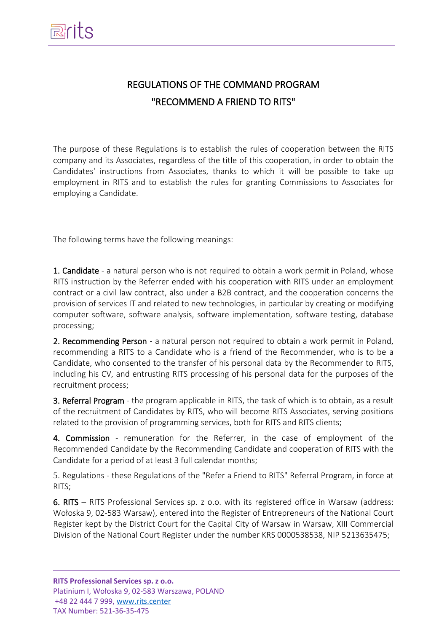# REGULATIONS OF THE COMMAND PROGRAM "RECOMMEND A FRIEND TO RITS"

The purpose of these Regulations is to establish the rules of cooperation between the RITS company and its Associates, regardless of the title of this cooperation, in order to obtain the Candidates' instructions from Associates, thanks to which it will be possible to take up employment in RITS and to establish the rules for granting Commissions to Associates for employing a Candidate.

The following terms have the following meanings:

1. Candidate - a natural person who is not required to obtain a work permit in Poland, whose RITS instruction by the Referrer ended with his cooperation with RITS under an employment contract or a civil law contract, also under a B2B contract, and the cooperation concerns the provision of services IT and related to new technologies, in particular by creating or modifying computer software, software analysis, software implementation, software testing, database processing;

2. Recommending Person - a natural person not required to obtain a work permit in Poland, recommending a RITS to a Candidate who is a friend of the Recommender, who is to be a Candidate, who consented to the transfer of his personal data by the Recommender to RITS, including his CV, and entrusting RITS processing of his personal data for the purposes of the recruitment process;

3. Referral Program - the program applicable in RITS, the task of which is to obtain, as a result of the recruitment of Candidates by RITS, who will become RITS Associates, serving positions related to the provision of programming services, both for RITS and RITS clients;

4. Commission - remuneration for the Referrer, in the case of employment of the Recommended Candidate by the Recommending Candidate and cooperation of RITS with the Candidate for a period of at least 3 full calendar months;

5. Regulations - these Regulations of the "Refer a Friend to RITS" Referral Program, in force at RITS;

6. RITS – RITS Professional Services sp. z o.o. with its registered office in Warsaw (address: Wołoska 9, 02-583 Warsaw), entered into the Register of Entrepreneurs of the National Court Register kept by the District Court for the Capital City of Warsaw in Warsaw, XIII Commercial Division of the National Court Register under the number KRS 0000538538, NIP 5213635475;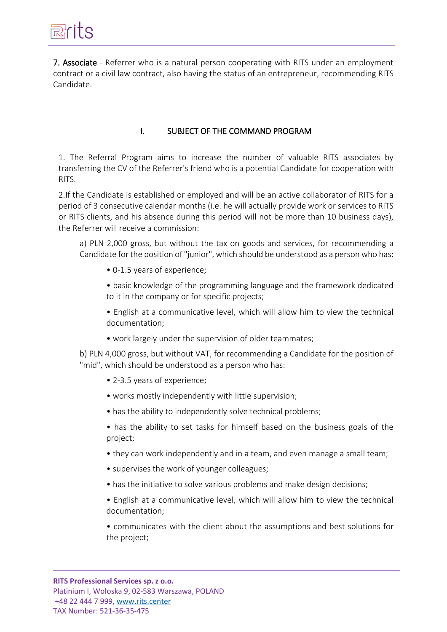7. Associate - Referrer who is a natural person cooperating with RITS under an employment contract or a civil law contract, also having the status of an entrepreneur, recommending RITS Candidate.

### I. SUBJECT OF THE COMMAND PROGRAM

1. The Referral Program aims to increase the number of valuable RITS associates by transferring the CV of the Referrer's friend who is a potential Candidate for cooperation with RITS.

2.If the Candidate is established or employed and will be an active collaborator of RITS for a period of 3 consecutive calendar months (i.e. he will actually provide work or services to RITS or RITS clients, and his absence during this period will not be more than 10 business days), the Referrer will receive a commission:

a) PLN 2,000 gross, but without the tax on goods and services, for recommending a Candidate for the position of "junior", which should be understood as a person who has:

• 0-1.5 years of experience;

• basic knowledge of the programming language and the framework dedicated to it in the company or for specific projects;

• English at a communicative level, which will allow him to view the technical documentation;

• work largely under the supervision of older teammates;

b) PLN 4,000 gross, but without VAT, for recommending a Candidate for the position of "mid", which should be understood as a person who has:

- 2-3.5 years of experience;
- works mostly independently with little supervision;
- has the ability to independently solve technical problems;

• has the ability to set tasks for himself based on the business goals of the project;

- they can work independently and in a team, and even manage a small team;
- supervises the work of younger colleagues;
- has the initiative to solve various problems and make design decisions;
- English at a communicative level, which will allow him to view the technical documentation;

• communicates with the client about the assumptions and best solutions for the project;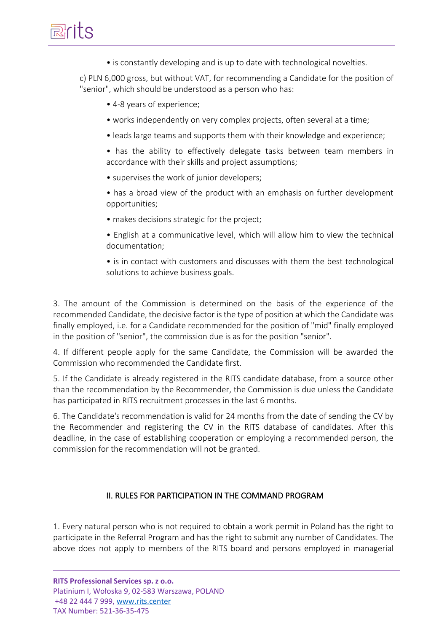• is constantly developing and is up to date with technological novelties.

c) PLN 6,000 gross, but without VAT, for recommending a Candidate for the position of "senior", which should be understood as a person who has:

- 4-8 years of experience;
- works independently on very complex projects, often several at a time;
- leads large teams and supports them with their knowledge and experience;

• has the ability to effectively delegate tasks between team members in accordance with their skills and project assumptions;

- supervises the work of junior developers;
- has a broad view of the product with an emphasis on further development opportunities;
- makes decisions strategic for the project;
- English at a communicative level, which will allow him to view the technical documentation;
- is in contact with customers and discusses with them the best technological solutions to achieve business goals.

3. The amount of the Commission is determined on the basis of the experience of the recommended Candidate, the decisive factor is the type of position at which the Candidate was finally employed, i.e. for a Candidate recommended for the position of "mid" finally employed in the position of "senior", the commission due is as for the position "senior".

4. If different people apply for the same Candidate, the Commission will be awarded the Commission who recommended the Candidate first.

5. If the Candidate is already registered in the RITS candidate database, from a source other than the recommendation by the Recommender, the Commission is due unless the Candidate has participated in RITS recruitment processes in the last 6 months.

6. The Candidate's recommendation is valid for 24 months from the date of sending the CV by the Recommender and registering the CV in the RITS database of candidates. After this deadline, in the case of establishing cooperation or employing a recommended person, the commission for the recommendation will not be granted.

#### II. RULES FOR PARTICIPATION IN THE COMMAND PROGRAM

1. Every natural person who is not required to obtain a work permit in Poland has the right to participate in the Referral Program and has the right to submit any number of Candidates. The above does not apply to members of the RITS board and persons employed in managerial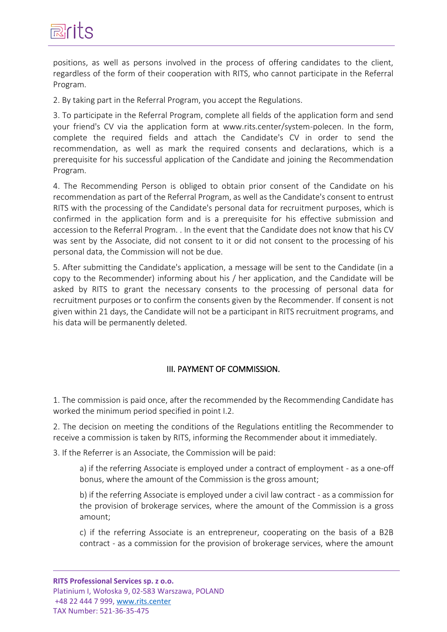

positions, as well as persons involved in the process of offering candidates to the client, regardless of the form of their cooperation with RITS, who cannot participate in the Referral Program.

2. By taking part in the Referral Program, you accept the Regulations.

3. To participate in the Referral Program, complete all fields of the application form and send your friend's CV via the application form at www.rits.center/system-polecen. In the form, complete the required fields and attach the Candidate's CV in order to send the recommendation, as well as mark the required consents and declarations, which is a prerequisite for his successful application of the Candidate and joining the Recommendation Program.

4. The Recommending Person is obliged to obtain prior consent of the Candidate on his recommendation as part of the Referral Program, as well as the Candidate's consent to entrust RITS with the processing of the Candidate's personal data for recruitment purposes, which is confirmed in the application form and is a prerequisite for his effective submission and accession to the Referral Program. . In the event that the Candidate does not know that his CV was sent by the Associate, did not consent to it or did not consent to the processing of his personal data, the Commission will not be due.

5. After submitting the Candidate's application, a message will be sent to the Candidate (in a copy to the Recommender) informing about his / her application, and the Candidate will be asked by RITS to grant the necessary consents to the processing of personal data for recruitment purposes or to confirm the consents given by the Recommender. If consent is not given within 21 days, the Candidate will not be a participant in RITS recruitment programs, and his data will be permanently deleted.

#### III. PAYMENT OF COMMISSION.

1. The commission is paid once, after the recommended by the Recommending Candidate has worked the minimum period specified in point I.2.

2. The decision on meeting the conditions of the Regulations entitling the Recommender to receive a commission is taken by RITS, informing the Recommender about it immediately.

3. If the Referrer is an Associate, the Commission will be paid:

a) if the referring Associate is employed under a contract of employment - as a one-off bonus, where the amount of the Commission is the gross amount;

b) if the referring Associate is employed under a civil law contract - as a commission for the provision of brokerage services, where the amount of the Commission is a gross amount;

c) if the referring Associate is an entrepreneur, cooperating on the basis of a B2B contract - as a commission for the provision of brokerage services, where the amount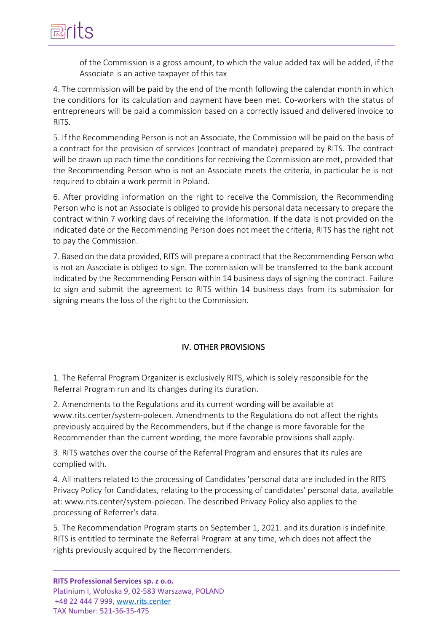of the Commission is a gross amount, to which the value added tax will be added, if the Associate is an active taxpayer of this tax

4. The commission will be paid by the end of the month following the calendar month in which the conditions for its calculation and payment have been met. Co-workers with the status of entrepreneurs will be paid a commission based on a correctly issued and delivered invoice to RITS.

5. If the Recommending Person is not an Associate, the Commission will be paid on the basis of a contract for the provision of services (contract of mandate) prepared by RITS. The contract will be drawn up each time the conditions for receiving the Commission are met, provided that the Recommending Person who is not an Associate meets the criteria, in particular he is not required to obtain a work permit in Poland.

6. After providing information on the right to receive the Commission, the Recommending Person who is not an Associate is obliged to provide his personal data necessary to prepare the contract within 7 working days of receiving the information. If the data is not provided on the indicated date or the Recommending Person does not meet the criteria, RITS has the right not to pay the Commission.

7. Based on the data provided, RITS will prepare a contract that the Recommending Person who is not an Associate is obliged to sign. The commission will be transferred to the bank account indicated by the Recommending Person within 14 business days of signing the contract. Failure to sign and submit the agreement to RITS within 14 business days from its submission for signing means the loss of the right to the Commission.

## IV. OTHER PROVISIONS

1. The Referral Program Organizer is exclusively RITS, which is solely responsible for the Referral Program run and its changes during its duration.

2. Amendments to the Regulations and its current wording will be available at www.rits.center/system-polecen. Amendments to the Regulations do not affect the rights previously acquired by the Recommenders, but if the change is more favorable for the Recommender than the current wording, the more favorable provisions shall apply.

3. RITS watches over the course of the Referral Program and ensures that its rules are complied with.

4. All matters related to the processing of Candidates 'personal data are included in the RITS Privacy Policy for Candidates, relating to the processing of candidates' personal data, available at: www.rits.center/system-polecen. The described Privacy Policy also applies to the processing of Referrer's data.

5. The Recommendation Program starts on September 1, 2021. and its duration is indefinite. RITS is entitled to terminate the Referral Program at any time, which does not affect the rights previously acquired by the Recommenders.